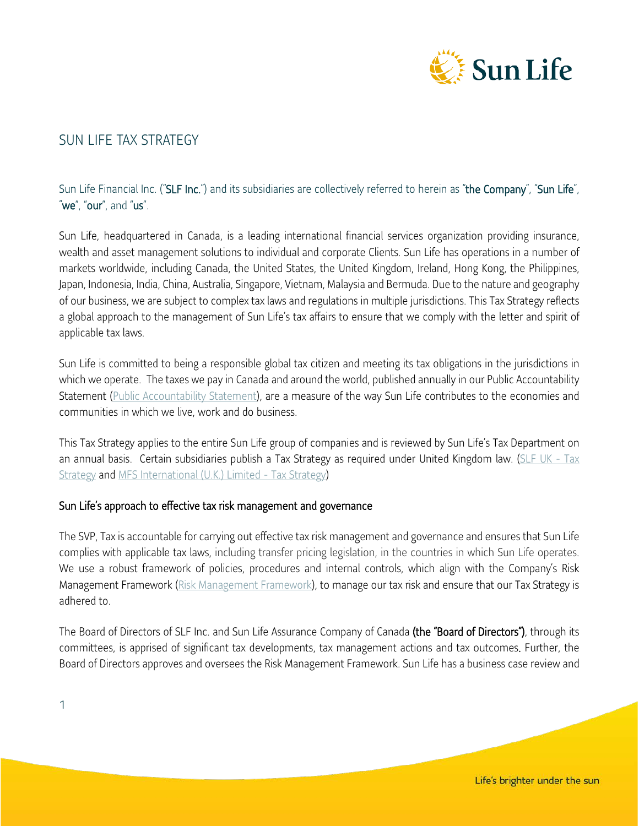

# SUN LIFE TAX STRATEGY

# Sun Life Financial Inc. ("SLF Inc.") and its subsidiaries are collectively referred to herein as "the Company", "Sun Life", "we", "our", and "us".

Sun Life, headquartered in Canada, is a leading international financial services organization providing insurance, wealth and asset management solutions to individual and corporate Clients. Sun Life has operations in a number of markets worldwide, including Canada, the United States, the United Kingdom, Ireland, Hong Kong, the Philippines, Japan, Indonesia, India, China, Australia, Singapore, Vietnam, Malaysia and Bermuda. Due to the nature and geography of our business, we are subject to complex tax laws and regulations in multiple jurisdictions. This Tax Strategy reflects a global approach to the management of Sun Life's tax affairs to ensure that we comply with the letter and spirit of applicable tax laws.

Sun Life is committed to being a responsible global tax citizen and meeting its tax obligations in the jurisdictions in which we operate. The taxes we pay in Canada and around the world, published annually in our Public Accountability Statement [\(Public Accountability Statement\)](https://www.sunlife.com/content/dam/sunlife/regional/global-marketing/documents/com/public-accountability-statement-2021-e.pdf), are a measure of the way Sun Life contributes to the economies and communities in which we live, work and do business.

This Tax Strategy applies to the entire Sun Life group of companies and is reviewed by Sun Life's Tax Department on an annual basis. Certain subsidiaries publish a Tax Strategy as required under United Kingdom law. [\(SLF UK -](https://www.sloc.co.uk/en/about-us/statements-and-reports/sun-life-financial-of-canada-uk-tax-strategy/) Tax [Strategy](https://www.sloc.co.uk/en/about-us/statements-and-reports/sun-life-financial-of-canada-uk-tax-strategy/) and [MFS International \(U.K.\) Limited -](https://www.mfs.com/content/dam/mfs-enterprise/mfscom/backlot/uk_tax_strategy.pdf) Tax Strategy)

#### Sun Life's approach to effective tax risk management and governance

The SVP, Tax is accountable for carrying out effective tax risk management and governance and ensures that Sun Life complies with applicable tax laws, including transfer pricing legislation, in the countries in which Sun Life operates. We use a robust framework of policies, procedures and internal controls, which align with the Company's Risk Management Framework [\(Risk Management Framework\)](https://www.sunlife.com/content/dam/sunlife/regional/global-marketing/documents/com/sustainability-report-2021-e.pdf), to manage our tax risk and ensure that our Tax Strategy is adhered to.

The Board of Directors of SLF Inc. and Sun Life Assurance Company of Canada (the "Board of Directors"), through its committees, is apprised of significant tax developments, tax management actions and tax outcomes. Further, the Board of Directors approves and oversees the Risk Management Framework. Sun Life has a business case review and

1